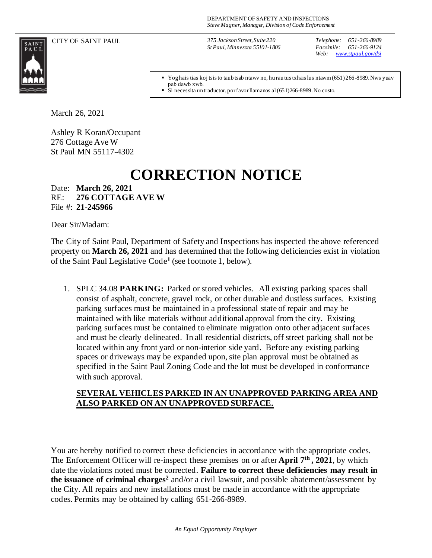SAINT<br>PAUL

CITY OF SAINT PAUL *375 Jackson Street, Suite 220 St Paul, Minnesota 55101-1806*

*Telephone: 651-266-8989 Facsimile: 651-266-9124 Web: [www.stpaul.gov/dsi](http://www.stpaul.gov/dsi)*

Yog hais tias koj tsis to taub tsab ntawv no, hu rau tus txhais lus ntawm (651) 266-8989. Nws yuav pab dawb xwb.

■ Si necessita un traductor, por favor llamanos al (651)266-8989. No costo.

March 26, 2021

Ashley R Koran/Occupant 276 Cottage Ave W St Paul MN 55117-4302

## **CORRECTION NOTICE**

Date: **March 26, 2021** RE: **276 COTTAGE AVE W** File #: **21-245966**

Dear Sir/Madam:

The City of Saint Paul, Department of Safety and Inspections has inspected the above referenced property on **March 26, 2021** and has determined that the following deficiencies exist in violation of the Saint Paul Legislative Code**<sup>1</sup>** (see footnote 1, below).

1. SPLC 34.08 **PARKING:** Parked or stored vehicles. All existing parking spaces shall consist of asphalt, concrete, gravel rock, or other durable and dustless surfaces. Existing parking surfaces must be maintained in a professional state of repair and may be maintained with like materials without additional approval from the city. Existing parking surfaces must be contained to eliminate migration onto other adjacent surfaces and must be clearly delineated. In all residential districts, off street parking shall not be located within any front yard or non-interior side yard. Before any existing parking spaces or driveways may be expanded upon, site plan approval must be obtained as specified in the Saint Paul Zoning Code and the lot must be developed in conformance with such approval.

## **SEVERAL VEHICLES PARKED IN AN UNAPPROVED PARKING AREA AND ALSO PARKED ON AN UNAPPROVED SURFACE.**

You are hereby notified to correct these deficiencies in accordance with the appropriate codes. The Enforcement Officer will re-inspect these premises on or after **April 7th , 2021**, by which date the violations noted must be corrected. **Failure to correct these deficiencies may result in the issuance of criminal charges<sup>2</sup>** and/or a civil lawsuit, and possible abatement/assessment by the City. All repairs and new installations must be made in accordance with the appropriate codes. Permits may be obtained by calling 651-266-8989.